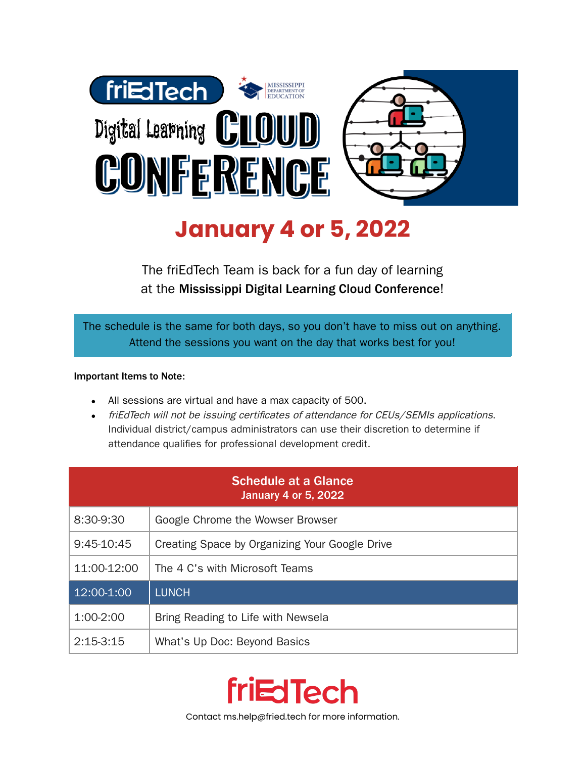

## **January 4 or 5, 2022**

The friEdTech Team is back for a fun day of learning at the Mississippi Digital Learning Cloud Conference!

The schedule is the same for both days, so you don't have to miss out on anything. Attend the sessions you want on the day that works best for you!

## Important Items to Note:

- All sessions are virtual and have a max capacity of 500.
- friEdTech will not be issuing certificates of attendance for CEUs/SEMIs applications. Individual district/campus administrators can use their discretion to determine if attendance qualifies for professional development credit.

| <b>Schedule at a Glance</b><br><b>January 4 or 5, 2022</b> |                                                |
|------------------------------------------------------------|------------------------------------------------|
| 8:30-9:30                                                  | Google Chrome the Wowser Browser               |
| 9:45-10:45                                                 | Creating Space by Organizing Your Google Drive |
| 11:00-12:00                                                | The 4 C's with Microsoft Teams                 |
| 12:00-1:00                                                 | <b>LUNCH</b>                                   |
| 1:00-2:00                                                  | Bring Reading to Life with Newsela             |
| $2:15-3:15$                                                | What's Up Doc: Beyond Basics                   |



Contact ms.help@fried.tech for more information.